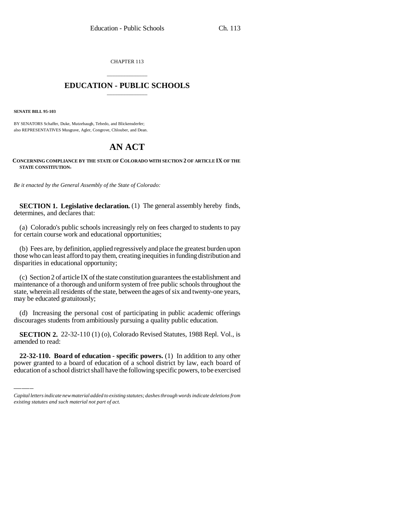CHAPTER 113

## \_\_\_\_\_\_\_\_\_\_\_\_\_\_\_ **EDUCATION - PUBLIC SCHOOLS** \_\_\_\_\_\_\_\_\_\_\_\_\_\_\_

**SENATE BILL 95-103**

BY SENATORS Schaffer, Duke, Mutzebaugh, Tebedo, and Blickensderfer; also REPRESENTATIVES Musgrave, Agler, Congrove, Chlouber, and Dean.

## **AN ACT**

## **CONCERNING COMPLIANCE BY THE STATE OF COLORADO WITH SECTION 2 OF ARTICLE IX OF THE STATE CONSTITUTION.**

*Be it enacted by the General Assembly of the State of Colorado:*

**SECTION 1. Legislative declaration.** (1) The general assembly hereby finds, determines, and declares that:

(a) Colorado's public schools increasingly rely on fees charged to students to pay for certain course work and educational opportunities;

(b) Fees are, by definition, applied regressively and place the greatest burden upon those who can least afford to pay them, creating inequities in funding distribution and disparities in educational opportunity;

(c) Section 2 of article IX of the state constitution guarantees the establishment and maintenance of a thorough and uniform system of free public schools throughout the state, wherein all residents of the state, between the ages of six and twenty-one years, may be educated gratuitously;

(d) Increasing the personal cost of participating in public academic offerings discourages students from ambitiously pursuing a quality public education.

section 2.<br>amended to read: **SECTION 2.** 22-32-110 (1) (o), Colorado Revised Statutes, 1988 Repl. Vol., is

**22-32-110. Board of education - specific powers.** (1) In addition to any other power granted to a board of education of a school district by law, each board of education of a school district shall have the following specific powers, to be exercised

*Capital letters indicate new material added to existing statutes; dashes through words indicate deletions from existing statutes and such material not part of act.*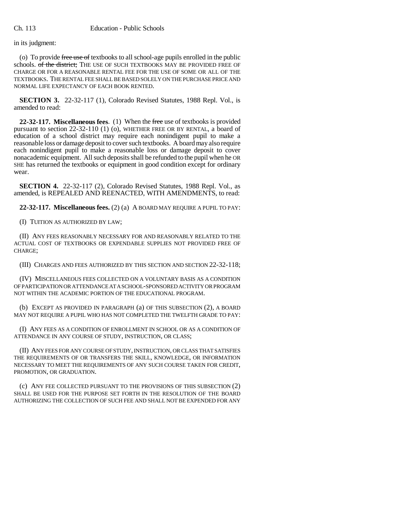in its judgment:

(o) To provide free use of textbooks to all school-age pupils enrolled in the public schools. of the district: THE USE OF SUCH TEXTBOOKS MAY BE PROVIDED FREE OF CHARGE OR FOR A REASONABLE RENTAL FEE FOR THE USE OF SOME OR ALL OF THE TEXTBOOKS. THE RENTAL FEE SHALL BE BASED SOLELY ON THE PURCHASE PRICE AND NORMAL LIFE EXPECTANCY OF EACH BOOK RENTED.

**SECTION 3.** 22-32-117 (1), Colorado Revised Statutes, 1988 Repl. Vol., is amended to read:

**22-32-117. Miscellaneous fees**. (1) When the free use of textbooks is provided pursuant to section 22-32-110 (1) (o), WHETHER FREE OR BY RENTAL, a board of education of a school district may require each nonindigent pupil to make a reasonable loss or damage deposit to cover such textbooks. A board may also require each nonindigent pupil to make a reasonable loss or damage deposit to cover nonacademic equipment. All such deposits shall be refunded to the pupil when he OR SHE has returned the textbooks or equipment in good condition except for ordinary wear.

**SECTION 4.** 22-32-117 (2), Colorado Revised Statutes, 1988 Repl. Vol., as amended, is REPEALED AND REENACTED, WITH AMENDMENTS, to read:

**22-32-117. Miscellaneous fees.** (2) (a) A BOARD MAY REQUIRE A PUPIL TO PAY:

(I) TUITION AS AUTHORIZED BY LAW;

(II) ANY FEES REASONABLY NECESSARY FOR AND REASONABLY RELATED TO THE ACTUAL COST OF TEXTBOOKS OR EXPENDABLE SUPPLIES NOT PROVIDED FREE OF CHARGE;

(III) CHARGES AND FEES AUTHORIZED BY THIS SECTION AND SECTION 22-32-118;

(IV) MISCELLANEOUS FEES COLLECTED ON A VOLUNTARY BASIS AS A CONDITION OF PARTICIPATION OR ATTENDANCE AT A SCHOOL-SPONSORED ACTIVITY OR PROGRAM NOT WITHIN THE ACADEMIC PORTION OF THE EDUCATIONAL PROGRAM.

(b) EXCEPT AS PROVIDED IN PARAGRAPH (a) OF THIS SUBSECTION (2), A BOARD MAY NOT REQUIRE A PUPIL WHO HAS NOT COMPLETED THE TWELFTH GRADE TO PAY:

(I) ANY FEES AS A CONDITION OF ENROLLMENT IN SCHOOL OR AS A CONDITION OF ATTENDANCE IN ANY COURSE OF STUDY, INSTRUCTION, OR CLASS;

(II) ANY FEES FOR ANY COURSE OF STUDY, INSTRUCTION, OR CLASS THAT SATISFIES THE REQUIREMENTS OF OR TRANSFERS THE SKILL, KNOWLEDGE, OR INFORMATION NECESSARY TO MEET THE REQUIREMENTS OF ANY SUCH COURSE TAKEN FOR CREDIT, PROMOTION, OR GRADUATION.

(c) ANY FEE COLLECTED PURSUANT TO THE PROVISIONS OF THIS SUBSECTION (2) SHALL BE USED FOR THE PURPOSE SET FORTH IN THE RESOLUTION OF THE BOARD AUTHORIZING THE COLLECTION OF SUCH FEE AND SHALL NOT BE EXPENDED FOR ANY